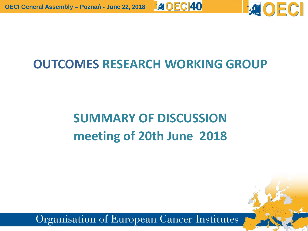

## **OUTCOMES RESEARCH WORKING GROUP**

**EAOECI40** 

## **SUMMARY OF DISCUSSION meeting of 20th June 2018**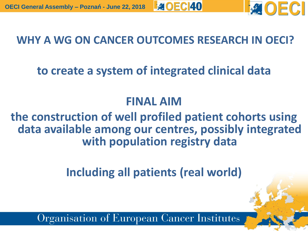

### **WHY A WG ON CANCER OUTCOMES RESEARCH IN OECI?**

## **to create a system of integrated clinical data**

### **FINAL AIM**

#### **the construction of well profiled patient cohorts using data available among our centres, possibly integrated with population registry data**

**Including all patients (real world)**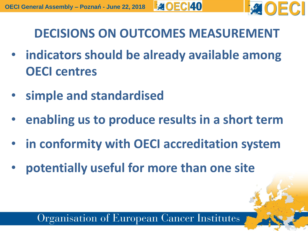

**DECISIONS ON OUTCOMES MEASUREMENT**

- **indicators should be already available among OECI centres**
- **simple and standardised**
- **enabling us to produce results in a short term**
- **in conformity with OECI accreditation system**
- **potentially useful for more than one site**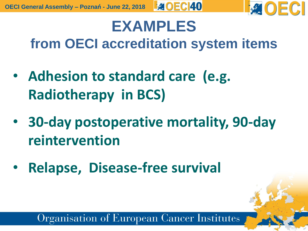

## **EXAMPLES from OECI accreditation system items**

- **Adhesion to standard care (e.g. Radiotherapy in BCS)**
- **30-day postoperative mortality, 90-day reintervention**
- **Relapse, Disease-free survival**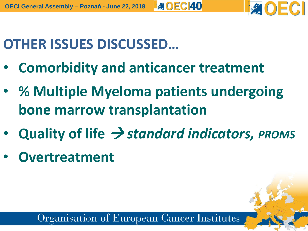**AOEC140 OECI General Assembly – Poznań - June 22, 2018**

# **OTHER ISSUES DISCUSSED…**

- **Comorbidity and anticancer treatment**
- **% Multiple Myeloma patients undergoing bone marrow transplantation**
- **Quality of life**  *standard indicators, PROMS*
- **Overtreatment**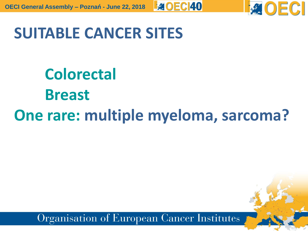

## **SUITABLE CANCER SITES**

# **Colorectal Breast One rare: multiple myeloma, sarcoma?**

**EAOECI40**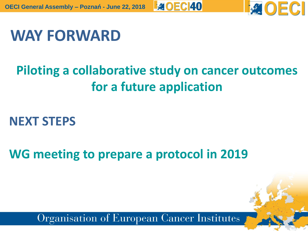

## **WAY FORWARD**

## **Piloting a collaborative study on cancer outcomes for a future application**

**EAOECI40** 

## **NEXT STEPS**

**WG meeting to prepare a protocol in 2019**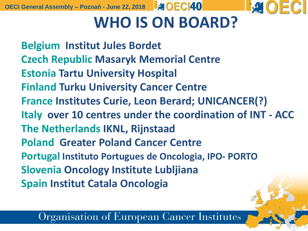**OECI General Assembly – Poznań - June 22, 2018**



# **WHO IS ON BOARD?**

**Belgium Institut Jules Bordet Czech Republic Masaryk Memorial Centre Estonia Tartu University Hospital Finland Turku University Cancer Centre France Institutes Curie, Leon Berard; UNICANCER(?) Italy over 10 centres under the coordination of INT - ACC The Netherlands IKNL, Rijnstaad Poland Greater Poland Cancer Centre Portugal Instituto Portugues de Oncologia, IPO- PORTO Slovenia Oncology Institute Lubljiana Spain Institut Catala Oncologia**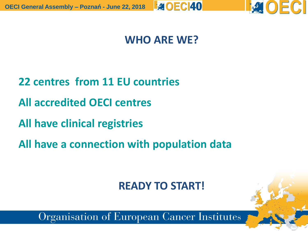

### **WHO ARE WE?**

- **22 centres from 11 EU countries**
- **All accredited OECI centres**
- **All have clinical registries**
- **All have a connection with population data**

### **READY TO START!**